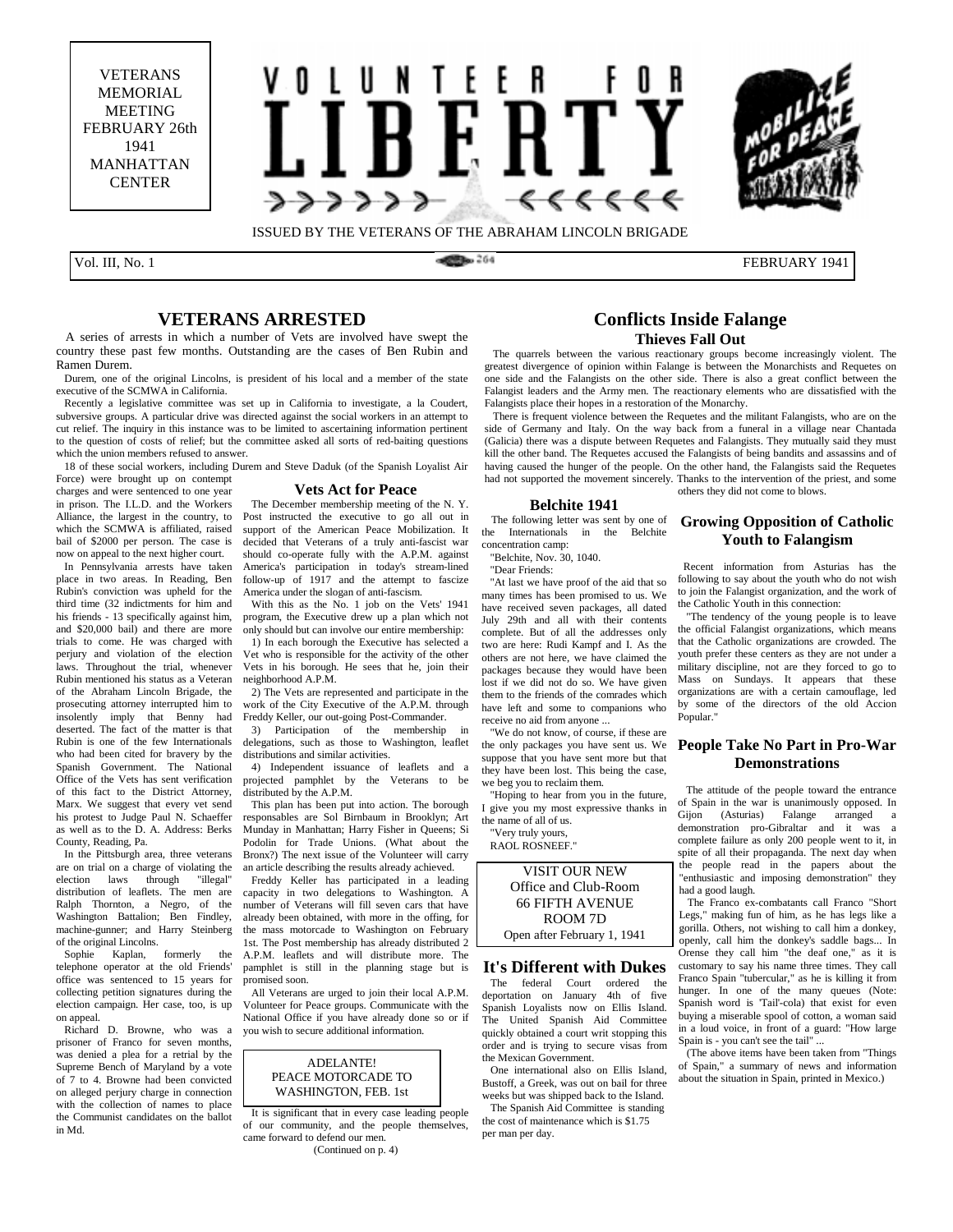VETERANS MEMORIAL **MEETING** FEBRUARY 26th 1941 MANHATTAN **CENTER** 





Rubin's conviction was upheld for the third time (32 indictments for him and his friends - 13 specifically against him, and \$20,000 bail) and there are more trials to come. He was charged with perjury and violation of the election laws. Throughout the trial, whenever Rubin mentioned his status as a Veteran of the Abraham Lincoln Brigade, the prosecuting attorney interrupted him to insolently imply that Benny had deserted. The fact of the matter is that Rubin is one of the few Internationals who had been cited for bravery by the Spanish Government. The National Office of the Vets has sent verification of this fact to the District Attorney, Marx. We suggest that every vet send his protest to Judge Paul N. Schaeffer as well as to the D. A. Address: Berks

County, Reading, Pa.

election laws

on appeal.

in Md.

 In the Pittsburgh area, three veterans are on trial on a charge of violating the<br>election laws through "illegal"

distribution of leaflets. The men are Ralph Thornton, a Negro, of the Washington Battalion; Ben Findley, machine-gunner; and Harry Steinberg of the original Lincolns.<br>Sophie Kaplan. formerly Sophie Kaplan, formerly the telephone operator at the old Friends' office was sentenced to 15 years for collecting petition signatures during the election campaign. Her case, too, is up

 Richard D. Browne, who was a prisoner of Franco for seven months, was denied a plea for a retrial by the Supreme Bench of Maryland by a vote of 7 to 4. Browne had been convicted on alleged perjury charge in connection with the collection of names to place the Communist candidates on the ballot

Vol. III, No. 1 FEBRUARY 1941

### **VETERANS ARRESTED**

 A series of arrests in which a number of Vets are involved have swept the country these past few months. Outstanding are the cases of Ben Rubin and Ramen Durem.

 Durem, one of the original Lincolns, is president of his local and a member of the state executive of the SCMWA in California.

 Recently a legislative committee was set up in California to investigate, a la Coudert, subversive groups. A particular drive was directed against the social workers in an attempt to cut relief. The inquiry in this instance was to be limited to ascertaining information pertinent to the question of costs of relief; but the committee asked all sorts of red-baiting questions which the union members refused to answer.

 18 of these social workers, including Durem and Steve Daduk (of the Spanish Loyalist Air Force) were brought up on contempt

#### **Vets Act for Peace**

charges and were sentenced to one year in prison. The I.L.D. and the Workers Alliance, the largest in the country, to which the SCMWA is affiliated, raised bail of \$2000 per person. The case is now on appeal to the next higher court. In Pennsylvania arrests have taken place in two areas. In Reading, Ben The December membership meeting of the N. Y. Post instructed the executive to go all out in support of the American Peace Mobilization. It decided that Veterans of a truly anti-fascist war should co-operate fully with the A.P.M. against America's participation in today's stream-lined follow-up of 1917 and the attempt to fascize

America under the slogan of anti-fascism. With this as the No. 1 job on the Vets' 1941 program, the Executive drew up a plan which not only should but can involve our entire membership:

 1) In each borough the Executive has selected a Vet who is responsible for the activity of the other Vets in his borough. He sees that he, join their neighborhood A.P.M.

 2) The Vets are represented and participate in the work of the City Executive of the A.P.M. through Freddy Keller, our out-going Post-Commander.

 3) Participation of the membership in delegations, such as those to Washington, leaflet distributions and similar activities.

 4) Independent issuance of leaflets and a projected pamphlet by the Veterans to be distributed by the A.P.M.

 This plan has been put into action. The borough responsables are Sol Birnbaum in Brooklyn; Art Munday in Manhattan; Harry Fisher in Queens; Si Podolin for Trade Unions. (What about the Bronx?) The next issue of the Volunteer will carry an article describing the results already achieved.

 Freddy Keller has participated in a leading capacity in two delegations to Washington. A number of Veterans will fill seven cars that have already been obtained, with more in the offing, for the mass motorcade to Washington on February 1st. The Post membership has already distributed 2 A.P.M. leaflets and will distribute more. The pamphlet is still in the planning stage but is promised soon.

 All Veterans are urged to join their local A.P.M. Volunteer for Peace groups. Communicate with the National Office if you have already done so or if you wish to secure additional information.

#### ADELANTE! PEACE MOTORCADE TO WASHINGTON, FEB. 1st

 It is significant that in every case leading people of our community, and the people themselves, came forward to defend our men. (Continued on p. 4)

### **Conflicts Inside Falange Thieves Fall Out**

 The quarrels between the various reactionary groups become increasingly violent. The greatest divergence of opinion within Falange is between the Monarchists and Requetes on one side and the Falangists on the other side. There is also a great conflict between the Falangist leaders and the Army men. The reactionary elements who are dissatisfied with the Falangists place their hopes in a restoration of the Monarchy.

 There is frequent violence between the Requetes and the militant Falangists, who are on the side of Germany and Italy. On the way back from a funeral in a village near Chantada (Galicia) there was a dispute between Requetes and Falangists. They mutually said they must kill the other band. The Requetes accused the Falangists of being bandits and assassins and of having caused the hunger of the people. On the other hand, the Falangists said the Requetes had not supported the movement sincerely. Thanks to the intervention of the priest, and some others they did not come to blows.

#### **Belchite 1941**

The following letter was sent by one of the Internationals in the Belchite concentration camp:

"Belchite, Nov. 30, 1040.

"Dear Friends:

 "At last we have proof of the aid that so many times has been promised to us. We have received seven packages, all dated July 29th and all with their contents complete. But of all the addresses only two are here: Rudi Kampf and I. As the others are not here, we have claimed the packages because they would have been lost if we did not do so. We have given them to the friends of the comrades which have left and some to companions who receive no aid from anyone ...

 "We do not know, of course, if these are the only packages you have sent us. We suppose that you have sent more but that they have been lost. This being the case, we beg you to reclaim them.

 "Hoping to hear from you in the future, I give you my most expressive thanks in the name of all of us.

"Very truly yours,

RAOL ROSNEEF."

VISIT OUR NEW Office and Club-Room 66 FIFTH AVENUE ROOM 7D Open after February 1, 1941

#### **It's Different with Dukes**

 The federal Court ordered the deportation on January 4th of five Spanish Loyalists now on Ellis Island. The United Spanish Aid Committee quickly obtained a court writ stopping this order and is trying to secure visas from the Mexican Government.

 One international also on Ellis Island, Bustoff, a Greek, was out on bail for three weeks but was shipped back to the Island.

 The Spanish Aid Committee is standing the cost of maintenance which is \$1.75 per man per day.

### **Growing Opposition of Catholic Youth to Falangism**

 Recent information from Asturias has the following to say about the youth who do not wish to join the Falangist organization, and the work of the Catholic Youth in this connection:

 "The tendency of the young people is to leave the official Falangist organizations, which means that the Catholic organizations are crowded. The youth prefer these centers as they are not under a military discipline, not are they forced to go to Mass on Sundays. It appears that these organizations are with a certain camouflage, led by some of the directors of the old Accion Popular."

### **People Take No Part in Pro-War Demonstrations**

 The attitude of the people toward the entrance of Spain in the war is unanimously opposed. In Gijon (Asturias) Falange arranged a demonstration pro-Gibraltar and it was a complete failure as only 200 people went to it, in spite of all their propaganda. The next day when the people read in the papers about the "enthusiastic and imposing demonstration" they had a good laugh.

 The Franco ex-combatants call Franco "Short Legs," making fun of him, as he has legs like a gorilla. Others, not wishing to call him a donkey, openly, call him the donkey's saddle bags... In Orense they call him "the deaf one," as it is customary to say his name three times. They call Franco Spain "tubercular," as he is killing it from hunger. In one of the many queues (Note: Spanish word is 'Tail'-cola) that exist for even buying a miserable spool of cotton, a woman said in a loud voice, in front of a guard: "How large Spain is - you can't see the tail" ...

 (The above items have been taken from "Things of Spain," a summary of news and information about the situation in Spain, printed in Mexico.)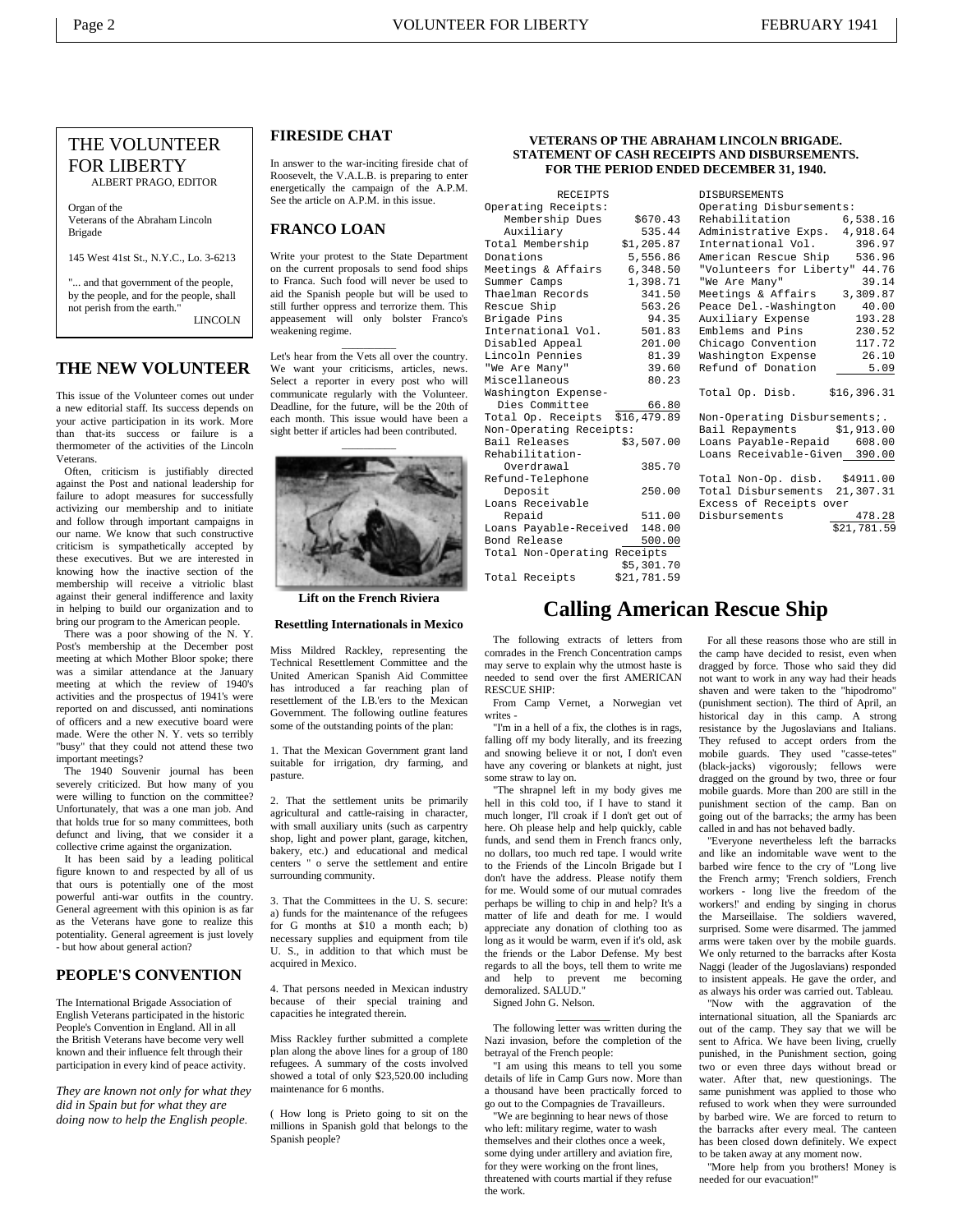### THE VOLUNTEER FOR LIBERTY ALBERT PRAGO, EDITOR

Organ of the Veterans of the Abraham Lincoln Brigade

145 West 41st St., N.Y.C., Lo. 3-6213

... and that government of the people, by the people, and for the people, shall not perish from the earth." LINCOLN

### **THE NEW VOLUNTEER**

This issue of the Volunteer comes out under a new editorial staff. Its success depends on your active participation in its work. More than that-its success or failure is a thermometer of the activities of the Lincoln Veterans.

 Often, criticism is justifiably directed against the Post and national leadership for failure to adopt measures for successfully activizing our membership and to initiate and follow through important campaigns in our name. We know that such constructive criticism is sympathetically accepted by these executives. But we are interested in knowing how the inactive section of the membership will receive a vitriolic blast against their general indifference and laxity in helping to build our organization and to bring our program to the American people.

 There was a poor showing of the N. Y. Post's membership at the December post meeting at which Mother Bloor spoke; there was a similar attendance at the January meeting at which the review of 1940's activities and the prospectus of 1941's were reported on and discussed, anti nominations of officers and a new executive board were made. Were the other N. Y. vets so terribly "busy" that they could not attend these two important meetings?

 The 1940 Souvenir journal has been severely criticized. But how many of you were willing to function on the committee? Unfortunately, that was a one man job. And that holds true for so many committees, both defunct and living, that we consider it a collective crime against the organization.

 It has been said by a leading political figure known to and respected by all of us that ours is potentially one of the most powerful anti-war outfits in the country. General agreement with this opinion is as far as the Veterans have gone to realize this potentiality. General agreement is just lovely - but how about general action?

### **PEOPLE'S CONVENTION**

The International Brigade Association of English Veterans participated in the historic People's Convention in England. All in all the British Veterans have become very well known and their influence felt through their participation in every kind of peace activity.

*They are known not only for what they did in Spain but for what they are doing now to help the English people.*

### **FIRESIDE CHAT**

In answer to the war-inciting fireside chat of Roosevelt, the V.A.L.B. is preparing to enter energetically the campaign of the A.P.M. See the article on A.P.M. in this issue.

#### **FRANCO LOAN**

Write your protest to the State Department on the current proposals to send food ships to Franca. Such food will never be used to aid the Spanish people but will be used to still further oppress and terrorize them. This appeasement will only bolster Franco's weakening regime.

Let's hear from the Vets all over the country. We want your criticisms, articles, news. Select a reporter in every post who will communicate regularly with the Volunteer. Deadline, for the future, will be the 20th of each month. This issue would have been a sight better if articles had been contributed.

 $\overline{\phantom{a}}$ 



**Lift on the French Riviera** 

#### **Resettling Internationals in Mexico**

Miss Mildred Rackley, representing the Technical Resettlement Committee and the United American Spanish Aid Committee has introduced a far reaching plan of resettlement of the I.B.'ers to the Mexican Government. The following outline features some of the outstanding points of the plan:

1. That the Mexican Government grant land suitable for irrigation, dry farming, and pasture.

2. That the settlement units be primarily agricultural and cattle-raising in character, with small auxiliary units (such as carpentry shop, light and power plant, garage, kitchen, bakery, etc.) and educational and medical centers " o serve the settlement and entire surrounding community.

3. That the Committees in the U. S. secure: a) funds for the maintenance of the refugees for G months at \$10 a month each; b) necessary supplies and equipment from tile U. S., in addition to that which must be acquired in Mexico.

4. That persons needed in Mexican industry because of their special training and capacities he integrated therein.

Miss Rackley further submitted a complete plan along the above lines for a group of 180 refugees. A summary of the costs involved showed a total of only \$23,520.00 including maintenance for 6 months.

( How long is Prieto going to sit on the millions in Spanish gold that belongs to the Spanish people?

#### **VETERANS OP THE ABRAHAM LINCOLN BRIGADE. STATEMENT OF CASH RECEIPTS AND DISBURSEMENTS. FOR THE PERIOD ENDED DECEMBER 31, 1940.**

| <b>RECEIPTS</b>                   |            | <b>DISBURSEMENTS</b>           |             |
|-----------------------------------|------------|--------------------------------|-------------|
| Operating Receipts:               |            | Operating Disbursements:       |             |
| Membership Dues                   | \$670.43   | Rehabilitation                 | 6,538.16    |
| Auxiliary                         | 535.44     | Administrative Exps.           | 4,918.64    |
| Total Membership                  | \$1,205.87 | International Vol.             | 396.97      |
| Donations                         | 5,556.86   | American Rescue Ship           | 536.96      |
| Meetings & Affairs                | 6,348.50   | "Volunteers for Liberty" 44.76 |             |
| Summer Camps                      | 1,398.71   | "We Are Many"                  | 39.14       |
| Thaelman Records                  | 341.50     | Meetings & Affairs             | 3,309.87    |
| Rescue Ship                       | 563.26     | Peace Del.-Washington          | 40.00       |
| Brigade Pins                      | 94.35      | Auxiliary Expense              | 193.28      |
| International Vol.                | 501.83     | Emblems and Pins               | 230.52      |
| Disabled Appeal                   | 201.00     | Chicago Convention             | 117.72      |
| Lincoln Pennies                   | 81.39      | Washington Expense             | 26.10       |
| "We Are Many"                     | 39.60      | Refund of Donation             | 5.09        |
| Miscellaneous                     | 80.23      |                                |             |
| Washington Expense-               |            | Total Op. Disb.<br>\$16,396.31 |             |
| Dies Committee                    | 66.80      |                                |             |
| \$16,479.89<br>Total Op. Receipts |            | Non-Operating Disbursements;.  |             |
| Non-Operating Receipts:           |            | Bail Repayments<br>\$1,913.00  |             |
| Bail Releases                     | \$3,507.00 | Loans Payable-Repaid           | 608.00      |
| Rehabilitation-                   |            | Loans Receivable-Given 390.00  |             |
| Overdrawal                        | 385.70     |                                |             |
| Refund-Telephone                  |            | Total Non-Op. disb.            | \$4911.00   |
| Deposit                           | 250.00     | Total Disbursements            | 21,307.31   |
| Loans Receivable                  |            | Excess of Receipts over        |             |
| Repaid                            | 511.00     | Disbursements                  | 478.28      |
| 148.00<br>Loans Payable-Received  |            |                                | \$21,781.59 |
| Bond Release                      | 500.00     |                                |             |
| Total Non-Operating Receipts      |            |                                |             |
|                                   | \$5,301.70 |                                |             |

## **Calling American Rescue Ship**

 The following extracts of letters from comrades in the French Concentration camps may serve to explain why the utmost haste is needed to send over the first AMERICAN RESCUE SHIP:

Total Receipts \$21,781.59

 From Camp Vernet, a Norwegian vet writes -

 "I'm in a hell of a fix, the clothes is in rags, falling off my body literally, and its freezing and snowing believe it or not, I don't even have any covering or blankets at night, just some straw to lay on.

 "The shrapnel left in my body gives me hell in this cold too, if I have to stand it much longer, I'll croak if I don't get out of here. Oh please help and help quickly, cable funds, and send them in French francs only, no dollars, too much red tape. I would write to the Friends of the Lincoln Brigade but I don't have the address. Please notify them for me. Would some of our mutual comrades perhaps be willing to chip in and help? It's a matter of life and death for me. I would appreciate any donation of clothing too as long as it would be warm, even if it's old, ask the friends or the Labor Defense. My best regards to all the boys, tell them to write me and help to prevent me becoming demoralized. SALUD."

 Signed John G. Nelson.  $\overline{\phantom{a}}$ 

 The following letter was written during the Nazi invasion, before the completion of the betrayal of the French people:

 "I am using this means to tell you some details of life in Camp Gurs now. More than a thousand have been practically forced to go out to the Compagnies de Travailleurs.

 "We are beginning to hear news of those who left: military regime, water to wash themselves and their clothes once a week, some dying under artillery and aviation fire, for they were working on the front lines, threatened with courts martial if they refuse the work.

 For all these reasons those who are still in the camp have decided to resist, even when dragged by force. Those who said they did not want to work in any way had their heads shaven and were taken to the "hipodromo" (punishment section). The third of April, an historical day in this camp. A strong resistance by the Jugoslavians and Italians. They refused to accept orders from the mobile guards. They used "casse-tetes" (black-jacks) vigorously; fellows were dragged on the ground by two, three or four mobile guards. More than 200 are still in the punishment section of the camp. Ban on going out of the barracks; the army has been called in and has not behaved badly.

 "Everyone nevertheless left the barracks and like an indomitable wave went to the barbed wire fence to the cry of "Long live the French army; 'French soldiers, French workers - long live the freedom of the workers!' and ending by singing in chorus the Marseillaise. The soldiers wavered, surprised. Some were disarmed. The jammed arms were taken over by the mobile guards. We only returned to the barracks after Kosta Naggi (leader of the Jugoslavians) responded to insistent appeals. He gave the order, and as always his order was carried out. Tableau.

 "Now with the aggravation of the international situation, all the Spaniards arc out of the camp. They say that we will be sent to Africa. We have been living, cruelly punished, in the Punishment section, going two or even three days without bread or water. After that, new questionings. The same punishment was applied to those who refused to work when they were surrounded by barbed wire. We are forced to return to the barracks after every meal. The canteen has been closed down definitely. We expect to be taken away at any moment now.

 "More help from you brothers! Money is needed for our evacuation!"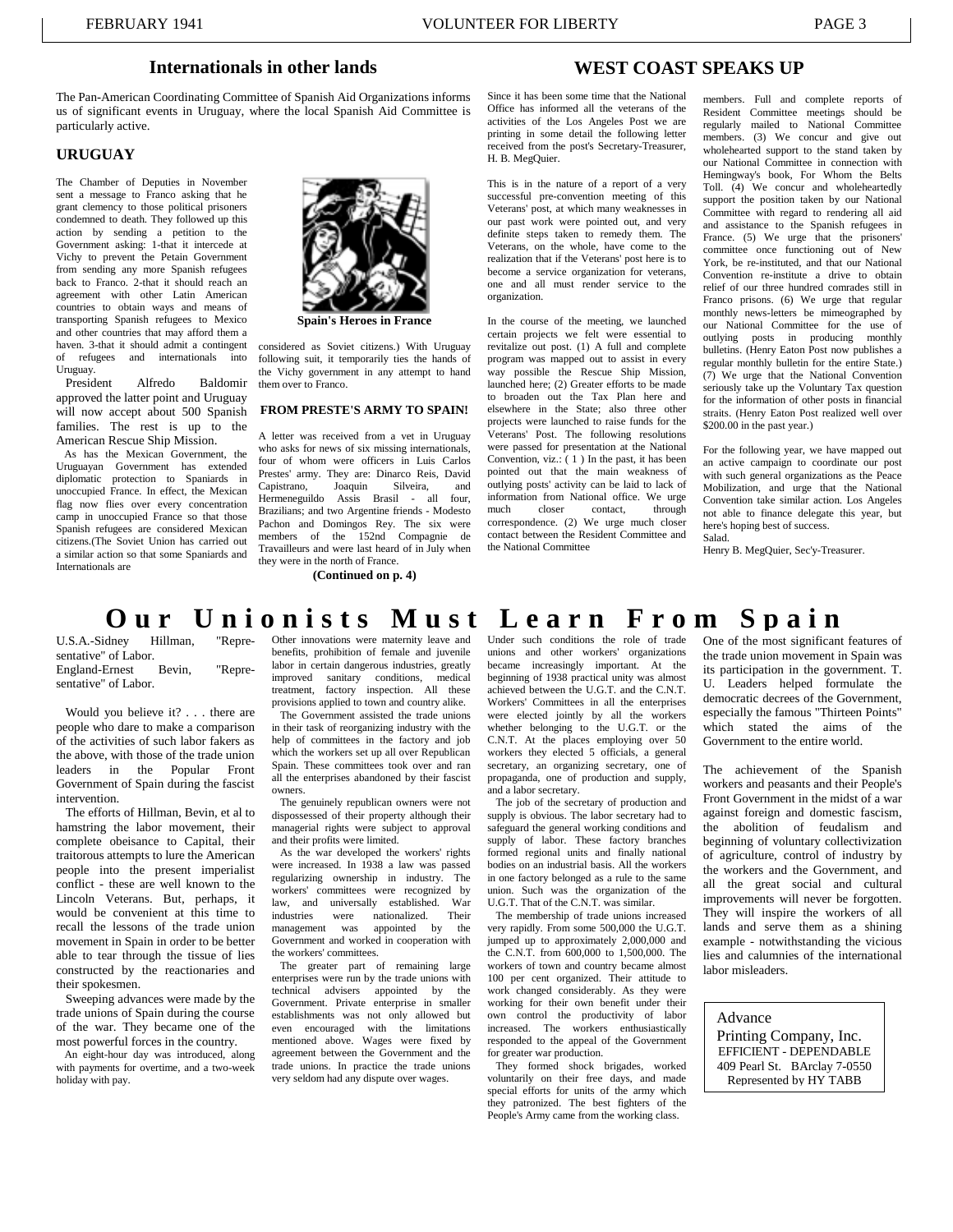### **Internationals in other lands**

The Pan-American Coordinating Committee of Spanish Aid Organizations informs us of significant events in Uruguay, where the local Spanish Aid Committee is particularly active.

### **URUGUAY**

The Chamber of Deputies in November sent a message to Franco asking that he grant clemency to those political prisoners condemned to death. They followed up this action by sending a petition to the Government asking: 1-that it intercede at Vichy to prevent the Petain Government from sending any more Spanish refugees back to Franco. 2-that it should reach an agreement with other Latin American countries to obtain ways and means of transporting Spanish refugees to Mexico and other countries that may afford them a haven. 3-that it should admit a contingent<br>of refugees and internationals into of refugees and internationals Uruguay.<br>President

Alfredo Baldomir approved the latter point and Uruguay will now accept about 500 Spanish families. The rest is up to the American Rescue Ship Mission.

 As has the Mexican Government, the Uruguayan Government has extended diplomatic protection to Spaniards in unoccupied France. In effect, the Mexican flag now flies over every concentration camp in unoccupied France so that those Spanish refugees are considered Mexican citizens.(The Soviet Union has carried out a similar action so that some Spaniards and Internationals are



**Spain's Heroes in France** 

considered as Soviet citizens.) With Uruguay following suit, it temporarily ties the hands of the Vichy government in any attempt to hand them over to Franco.

#### **FROM PRESTE'S ARMY TO SPAIN!**

A letter was received from a vet in Uruguay who asks for news of six missing internationals, four of whom were officers in Luis Carlos Prestes' army. They are: Dinarco Reis, David<br>Canistrano Ioaquin Silveira and Capistrano, Joaquin Silveira, and Hermeneguildo Assis Brasil - all four, Brazilians; and two Argentine friends - Modesto Pachon and Domingos Rey. The six were members of the 152nd Compagnie de Travailleurs and were last heard of in July when they were in the north of France.

**(Continued on p. 4)** 

### **WEST COAST SPEAKS UP**

Since it has been some time that the National Office has informed all the veterans of the activities of the Los Angeles Post we are printing in some detail the following letter received from the post's Secretary-Treasurer, H. B. MegQuier.

This is in the nature of a report of a very successful pre-convention meeting of this Veterans' post, at which many weaknesses in our past work were pointed out, and very definite steps taken to remedy them. The Veterans, on the whole, have come to the realization that if the Veterans' post here is to become a service organization for veterans, one and all must render service to the organization.

In the course of the meeting, we launched certain projects we felt were essential to revitalize out post. (1) A full and complete program was mapped out to assist in every way possible the Rescue Ship Mission, launched here; (2) Greater efforts to be made to broaden out the Tax Plan here and elsewhere in the State; also three other projects were launched to raise funds for the Veterans' Post. The following resolutions were passed for presentation at the National Convention, viz.:  $(1)$  In the past, it has been pointed out that the main weakness of outlying posts' activity can be laid to lack of information from National office. We urge<br>much closer contact. through contact, correspondence. (2) We urge much closer contact between the Resident Committee and the National Committee

members. Full and complete reports of Resident Committee meetings should be regularly mailed to National Committee members. (3) We concur and give out wholehearted support to the stand taken by our National Committee in connection with Hemingway's book, For Whom the Belts Toll. (4) We concur and wholeheartedly support the position taken by our National Committee with regard to rendering all aid and assistance to the Spanish refugees in France. (5) We urge that the prisoners' committee once functioning out of New York, be re-instituted, and that our National Convention re-institute a drive to obtain relief of our three hundred comrades still in Franco prisons. (6) We urge that regular monthly news-letters be mimeographed by our National Committee for the use of outlying posts in producing monthly bulletins. (Henry Eaton Post now publishes a regular monthly bulletin for the entire State.) (7) We urge that the National Convention seriously take up the Voluntary Tax question for the information of other posts in financial straits. (Henry Eaton Post realized well over \$200.00 in the past year.)

For the following year, we have mapped out an active campaign to coordinate our post with such general organizations as the Peace Mobilization, and urge that the National Convention take similar action. Los Angeles not able to finance delegate this year, but here's hoping best of success. Salad.

Henry B. MegQuier, Sec'y-Treasurer.

# **Our Unionists Must Learn From S p ain**

U.S.A.-Sidney Hillman, "Representative" of Labor.<br>England-Ernest Bevin, England-Ernest Bevin, "Representative" of Labor.

 Would you believe it? . . . there are people who dare to make a comparison of the activities of such labor fakers as the above, with those of the trade union leaders in the Popular Front Government of Spain during the fascist intervention.

 The efforts of Hillman, Bevin, et al to hamstring the labor movement, their complete obeisance to Capital, their traitorous attempts to lure the American people into the present imperialist conflict - these are well known to the Lincoln Veterans. But, perhaps, it would be convenient at this time to recall the lessons of the trade union movement in Spain in order to be better able to tear through the tissue of lies constructed by the reactionaries and their spokesmen.

 Sweeping advances were made by the trade unions of Spain during the course of the war. They became one of the most powerful forces in the country.

 An eight-hour day was introduced, along with payments for overtime, and a two-week holiday with pay.

Other innovations were maternity leave and benefits, prohibition of female and juvenile labor in certain dangerous industries, greatly improved sanitary conditions, medical treatment, factory inspection. All these provisions applied to town and country alike.

 The Government assisted the trade unions in their task of reorganizing industry with the help of committees in the factory and job which the workers set up all over Republican Spain. These committees took over and ran all the enterprises abandoned by their fascist owners.

 The genuinely republican owners were not dispossessed of their property although their managerial rights were subject to approval and their profits were limited.

 As the war developed the workers' rights were increased. In 1938 a law was passed regularizing ownership in industry. The workers' committees were recognized by law, and universally established. War<br>industries were nationalized. Their industries were nationalized. management was appointed by the Government and worked in cooperation with the workers' committees.

 The greater part of remaining large enterprises were run by the trade unions with technical advisers appointed by the Government. Private enterprise in smaller establishments was not only allowed but even encouraged with the limitations mentioned above. Wages were fixed by agreement between the Government and the trade unions. In practice the trade unions very seldom had any dispute over wages.

Under such conditions the role of trade unions and other workers' organizations became increasingly important. At the beginning of 1938 practical unity was almost achieved between the U.G.T. and the C.N.T. Workers' Committees in all the enterprises were elected jointly by all the workers whether belonging to the U.G.T. or the C.N.T. At the places employing over 50 workers they elected 5 officials, a general secretary, an organizing secretary, one of propaganda, one of production and supply, and a labor secretary.

The job of the secretary of production and supply is obvious. The labor secretary had to safeguard the general working conditions and supply of labor. These factory branches formed regional units and finally national bodies on an industrial basis. All the workers in one factory belonged as a rule to the same union. Such was the organization of the U.G.T. That of the C.N.T. was similar.

 The membership of trade unions increased very rapidly. From some 500,000 the U.G.T. jumped up to approximately 2,000,000 and the C.N.T. from 600,000 to 1,500,000. The workers of town and country became almost 100 per cent organized. Their attitude to work changed considerably. As they were working for their own benefit under their own control the productivity of labor increased. The workers enthusiastically responded to the appeal of the Government for greater war production.

 They formed shock brigades, worked voluntarily on their free days, and made special efforts for units of the army which they patronized. The best fighters of the People's Army came from the working class.

One of the most significant features of the trade union movement in Spain was its participation in the government. T. U. Leaders helped formulate the democratic decrees of the Government, especially the famous "Thirteen Points" which stated the aims of the Government to the entire world.

The achievement of the Spanish workers and peasants and their People's Front Government in the midst of a war against foreign and domestic fascism, the abolition of feudalism and beginning of voluntary collectivization of agriculture, control of industry by the workers and the Government, and all the great social and cultural improvements will never be forgotten. They will inspire the workers of all lands and serve them as a shining example - notwithstanding the vicious lies and calumnies of the international labor misleaders.

Advance

Printing Company, Inc. EFFICIENT - DEPENDABLE 409 Pearl St. BArclay 7-0550 Represented by HY TABB